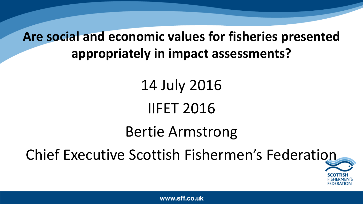### **Are social and economic values for fisheries presented appropriately in impact assessments?**

14 July 2016 IIFET 2016

Bertie Armstrong

Chief Executive Scottish Fishermen's Federation

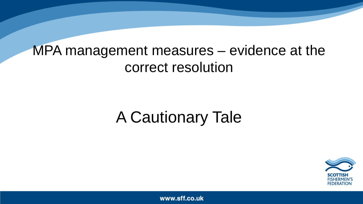### MPA management measures – evidence at the correct resolution

### A Cautionary Tale

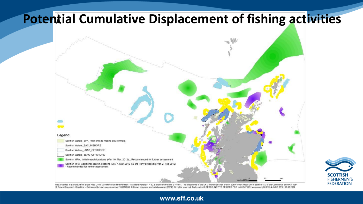### **Potential Cumulative Displacement of fishing activities**





Map projected in Europe Albers Equal Area Conic (Modified Standard Parallels - Standard Parallel 1 = 50.2; Standard Parallel 1 = 50.2; Standard Parallel 2 = 58.5). The exact limits of the UK Continental Shelf are set out i (© Crown Copyright). Coastline - Ordnance Survey Licence number 100017908. © Crown copyright and database right [2012]. All rights reserved. Bathymetry © GEBCO. NOT TO BE USED FOR NAVIGATION. Map copyright SNH & JNCC 2012.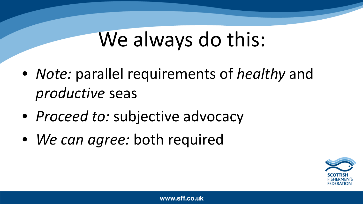### We always do this:

- *Note:* parallel requirements of *healthy* and *productive* seas
- *Proceed to:* subjective advocacy
- *We can agree:* both required

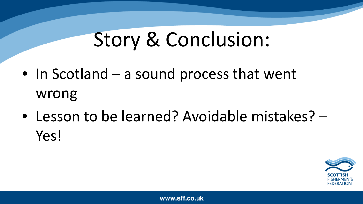## Story & Conclusion:

- In Scotland a sound process that went wrong
- Lesson to be learned? Avoidable mistakes? Yes!

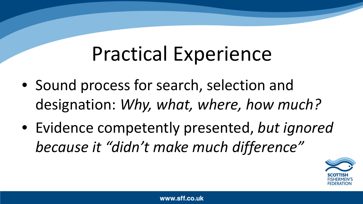## Practical Experience

- Sound process for search, selection and designation: *Why, what, where, how much?*
- Evidence competently presented, *but ignored because it "didn't make much difference"*

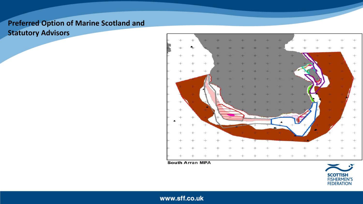### **Preferred Option of Marine Scotland and Statutory Advisors**



**South Arran MPA** 

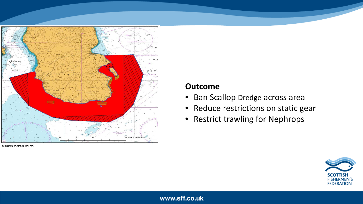

**South Arran MPA** 

#### **Outcome**

- Ban Scallop Dredge across area
- Reduce restrictions on static gear
- Restrict trawling for Nephrops

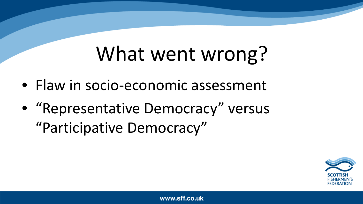## What went wrong?

- Flaw in socio-economic assessment
- "Representative Democracy" versus "Participative Democracy"

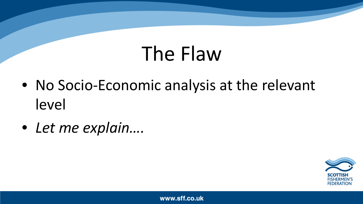## The Flaw

- No Socio-Economic analysis at the relevant level
- *Let me explain….*

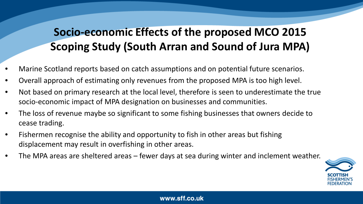### **Socio-economic Effects of the proposed MCO 2015 Scoping Study (South Arran and Sound of Jura MPA)**

- Marine Scotland reports based on catch assumptions and on potential future scenarios.
- Overall approach of estimating only revenues from the proposed MPA is too high level.
- Not based on primary research at the local level, therefore is seen to underestimate the true socio-economic impact of MPA designation on businesses and communities.
- The loss of revenue maybe so significant to some fishing businesses that owners decide to cease trading.
- Fishermen recognise the ability and opportunity to fish in other areas but fishing displacement may result in overfishing in other areas.
- The MPA areas are sheltered areas fewer days at sea during winter and inclement weather.

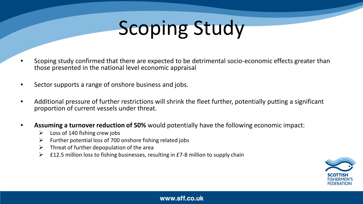# Scoping Study

- Scoping study confirmed that there are expected to be detrimental socio-economic effects greater than those presented in the national level economic appraisal
- Sector supports a range of onshore business and jobs.
- Additional pressure of further restrictions will shrink the fleet further, potentially putting a significant proportion of current vessels under threat.
- **Assuming a turnover reduction of 50%** would potentially have the following economic impact:
	- $\triangleright$  Loss of 140 fishing crew jobs
	- $\triangleright$  Further potential loss of 700 onshore fishing related jobs
	- $\triangleright$  Threat of further depopulation of the area
	- $\triangleright$  £12.5 million loss to fishing businesses, resulting in £7-8 million to supply chain

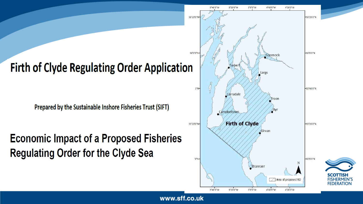

Prepared by the Sustainable Inshore Fisheries Trust (SIFT)

**Economic Impact of a Proposed Fisheries Regulating Order for the Clyde Sea** 



COTTISH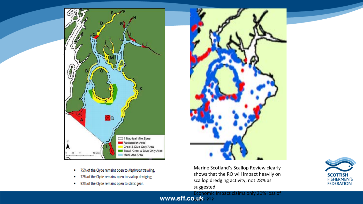

- 75% of the Clyde remains open to Nephrops trawling;  $\bullet$
- 72% of the Clyde remains open to scallop dredging;  $\bullet$
- 92% of the Clyde remains open to static gear.

Marine Scotland's Scallop Review clearly shows that the RO will impact heavily on scallop dredging activity, not 28% as suggested.